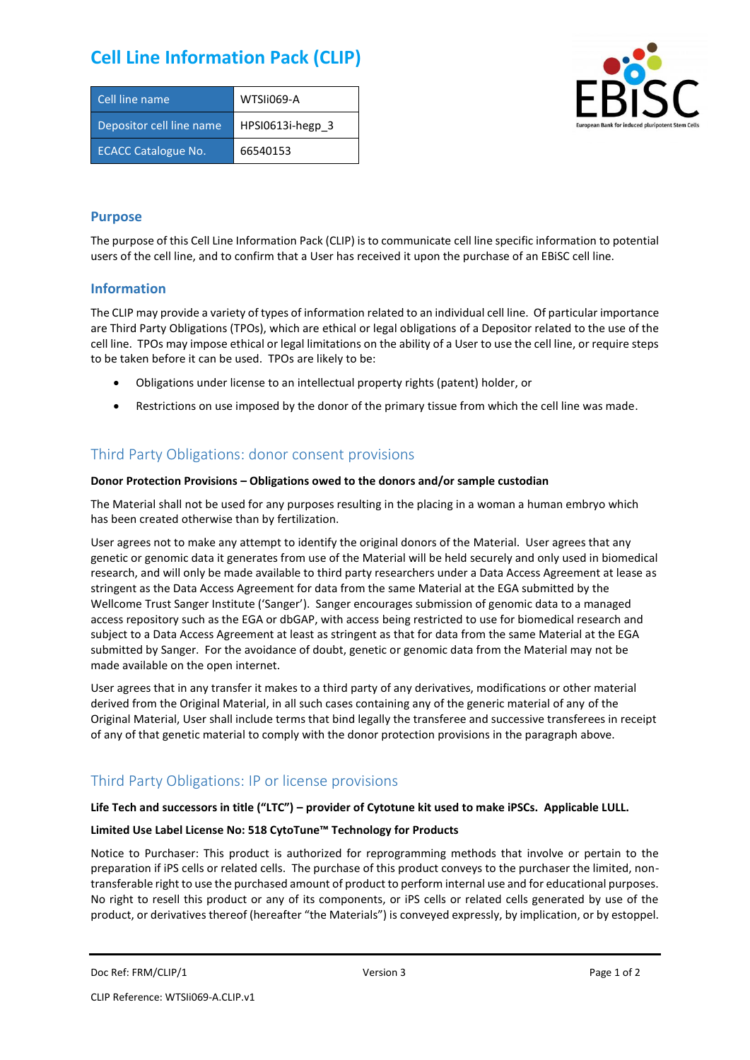# **Cell Line Information Pack (CLIP)**

| Cell line name             | WTSIi069-A       |
|----------------------------|------------------|
| Depositor cell line name   | HPSI0613i-hegp 3 |
| <b>ECACC Catalogue No.</b> | 66540153         |



### **Purpose**

The purpose of this Cell Line Information Pack (CLIP) is to communicate cell line specific information to potential users of the cell line, and to confirm that a User has received it upon the purchase of an EBiSC cell line.

### **Information**

The CLIP may provide a variety of types of information related to an individual cell line. Of particular importance are Third Party Obligations (TPOs), which are ethical or legal obligations of a Depositor related to the use of the cell line. TPOs may impose ethical or legal limitations on the ability of a User to use the cell line, or require steps to be taken before it can be used. TPOs are likely to be:

- Obligations under license to an intellectual property rights (patent) holder, or
- Restrictions on use imposed by the donor of the primary tissue from which the cell line was made.

## Third Party Obligations: donor consent provisions

#### **Donor Protection Provisions – Obligations owed to the donors and/or sample custodian**

The Material shall not be used for any purposes resulting in the placing in a woman a human embryo which has been created otherwise than by fertilization.

User agrees not to make any attempt to identify the original donors of the Material. User agrees that any genetic or genomic data it generates from use of the Material will be held securely and only used in biomedical research, and will only be made available to third party researchers under a Data Access Agreement at lease as stringent as the Data Access Agreement for data from the same Material at the EGA submitted by the Wellcome Trust Sanger Institute ('Sanger'). Sanger encourages submission of genomic data to a managed access repository such as the EGA or dbGAP, with access being restricted to use for biomedical research and subject to a Data Access Agreement at least as stringent as that for data from the same Material at the EGA submitted by Sanger. For the avoidance of doubt, genetic or genomic data from the Material may not be made available on the open internet.

User agrees that in any transfer it makes to a third party of any derivatives, modifications or other material derived from the Original Material, in all such cases containing any of the generic material of any of the Original Material, User shall include terms that bind legally the transferee and successive transferees in receipt of any of that genetic material to comply with the donor protection provisions in the paragraph above.

# Third Party Obligations: IP or license provisions

#### **Life Tech and successors in title ("LTC") – provider of Cytotune kit used to make iPSCs. Applicable LULL.**

#### **Limited Use Label License No: 518 CytoTune™ Technology for Products**

Notice to Purchaser: This product is authorized for reprogramming methods that involve or pertain to the preparation if iPS cells or related cells. The purchase of this product conveys to the purchaser the limited, nontransferable right to use the purchased amount of product to perform internal use and for educational purposes. No right to resell this product or any of its components, or iPS cells or related cells generated by use of the product, or derivatives thereof (hereafter "the Materials") is conveyed expressly, by implication, or by estoppel.

```
Doc Ref: FRM/CLIP/1 Docessity Version 3 Page 1 of 2 Page 1 of 2
```